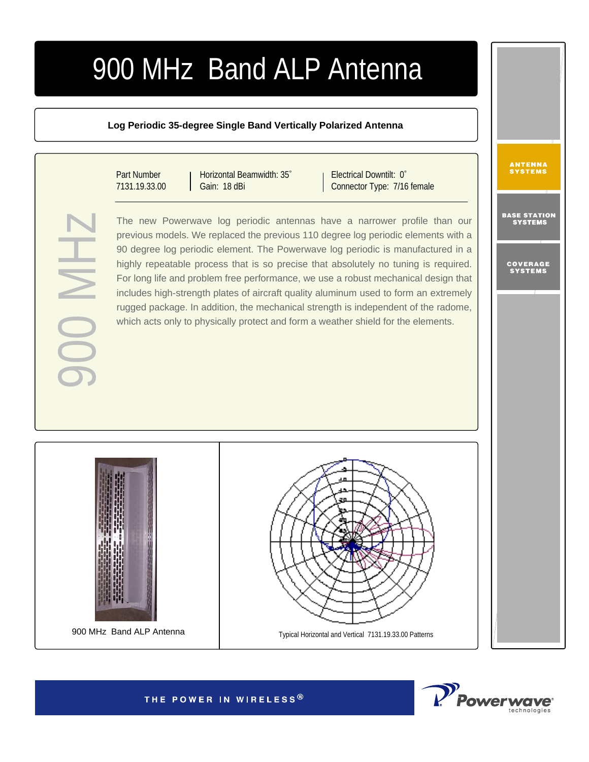## 900 MHz Band ALP Antenna

## **Log Periodic 35-degree Single Band Vertically Polarized Antenna**

Part Number 7131.19.33.00

90 MH

Horizontal Beamwidth: 35° Gain: 18 dBi

Electrical Downtilt: 0° Connector Type: 7/16 female

The new Powerwave log periodic antennas have a narrower profile than our previous models. We replaced the previous 110 degree log periodic elements with a 90 degree log periodic element. The Powerwave log periodic is manufactured in a highly repeatable process that is so precise that absolutely no tuning is required. For long life and problem free performance, we use a robust mechanical design that includes high-strength plates of aircraft quality aluminum used to form an extremely rugged package. In addition, the mechanical strength is independent of the radome, which acts only to physically protect and form a weather shield for the elements.





ANTENNA<br>Systems

BASE STA<mark>TION</mark><br>Systems

COVERAGE<br>Systems

THE POWER IN WIRELESS®